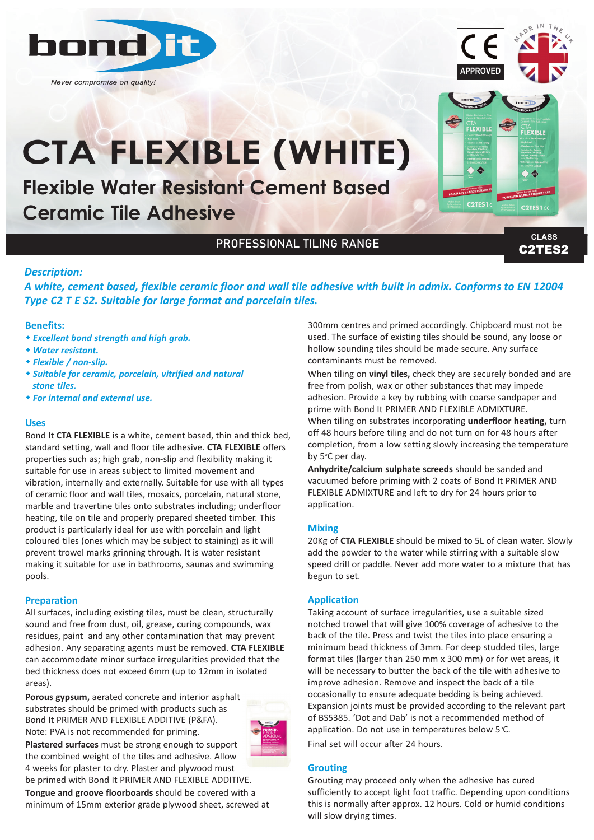

*Never compromise on quality!*



C2TES1

# **CTA FLEXIBLE (WHITE)**

**Flexible Water Resistant Cement Based Ceramic Tile Adhesive** 

## PROFESSIONAL TILING RANGE

C2TES2 **CLASS**

C2TES1ce

#### *Description:*

*A white, cement based, flexible ceramic floor and wall tile adhesive with built in admix. Conforms to EN 12004 Type C2 T E S2. Suitable for large format and porcelain tiles.*

#### **Benefits:**

- w *Excellent bond strength and high grab.*
- w *Water resistant.*
- w *Flexible / non‐slip.*
- w *Suitable for ceramic, porcelain, vitrified and natural stone tiles.*
- w *For internal and external use.*

#### **Uses**

Bond It **CTA FLEXIBLE** is a white, cement based, thin and thick bed, standard setting, wall and floor tile adhesive. **CTA FLEXIBLE** offers properties such as; high grab, non-slip and flexibility making it suitable for use in areas subject to limited movement and vibration, internally and externally. Suitable for use with all types of ceramic floor and wall tiles, mosaics, porcelain, natural stone, marble and travertine tiles onto substrates including; underfloor heating, tile on tile and properly prepared sheeted timber. This product is particularly ideal for use with porcelain and light coloured tiles (ones which may be subject to staining) as it will prevent trowel marks grinning through. It is water resistant making it suitable for use in bathrooms, saunas and swimming pools.

#### **Preparation**

All surfaces, including existing tiles, must be clean, structurally sound and free from dust, oil, grease, curing compounds, wax residues, paint and any other contamination that may prevent adhesion. Any separating agents must be removed. **CTA FLEXIBLE** can accommodate minor surface irregularities provided that the bed thickness does not exceed 6mm (up to 12mm in isolated areas).

**Porous gypsum,** aerated concrete and interior asphalt substrates should be primed with products such as Bond It PRIMER AND FLEXIBLE ADDITIVE (P&FA). Note: PVA is not recommended for priming. **Plastered surfaces** must be strong enough to support the combined weight of the tiles and adhesive. Allow

4 weeks for plaster to dry. Plaster and plywood must



be primed with Bond It PRIMER AND FLEXIBLE ADDITIVE. **Tongue and groove floorboards** should be covered with a minimum of 15mm exterior grade plywood sheet, screwed at 300mm centres and primed accordingly. Chipboard must not be used. The surface of existing tiles should be sound, any loose or hollow sounding tiles should be made secure. Any surface contaminants must be removed.

When tiling on **vinyl tiles,** check they are securely bonded and are free from polish, wax or other substances that may impede adhesion. Provide a key by rubbing with coarse sandpaper and prime with Bond It PRIMER AND FLEXIBLE ADMIXTURE. When tiling on substrates incorporating **underfloor heating,** turn off 48 hours before tiling and do not turn on for 48 hours after completion, from a low setting slowly increasing the temperature by 5°C per day.

**Anhydrite/calcium sulphate screeds** should be sanded and vacuumed before priming with 2 coats of Bond It PRIMER AND FLEXIBLE ADMIXTURE and left to dry for 24 hours prior to application.

#### **Mixing**

20Kg of **CTA FLEXIBLE** should be mixed to 5L of clean water. Slowly add the powder to the water while stirring with a suitable slow speed drill or paddle. Never add more water to a mixture that has begun to set.

#### **Application**

Taking account of surface irregularities, use a suitable sized notched trowel that will give 100% coverage of adhesive to the back of the tile. Press and twist the tiles into place ensuring a minimum bead thickness of 3mm. For deep studded tiles, large format tiles (larger than 250 mm x 300 mm) or for wet areas, it will be necessary to butter the back of the tile with adhesive to improve adhesion. Remove and inspect the back of a tile occasionally to ensure adequate bedding is being achieved. Expansion joints must be provided according to the relevant part of BS5385. 'Dot and Dab' is not a recommended method of application. Do not use in temperatures below 5°C. Final set will occur after 24 hours.

#### **Grouting**

Grouting may proceed only when the adhesive has cured sufficiently to accept light foot traffic. Depending upon conditions this is normally after approx. 12 hours. Cold or humid conditions will slow drying times.